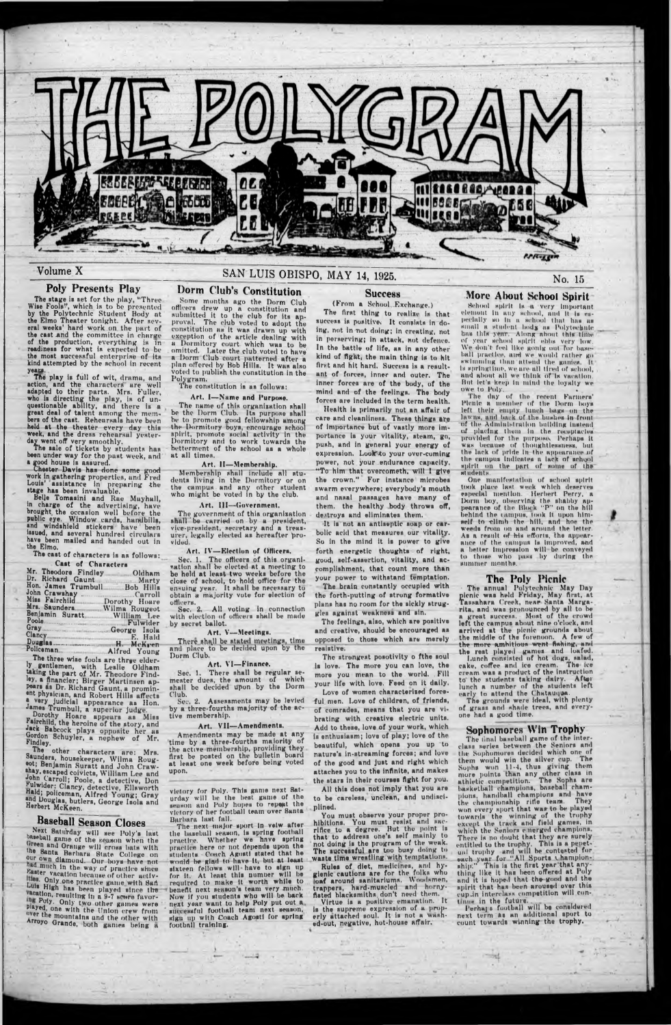

### Volume X

### Poly Presents Play

The stage is set for the play, "Three Wise Fools", which is to be presented by the Polytechnic Student Body at the Elmo Theater tonight. After severs! weeks' hard work on the part of the cast and the committee in charge of the production, everything is in readiness for what is expected to be the most successful enterprise of its kind attempted by the school In recent yeau.

The play is full of wit, drama, and action, and the characters are well adapted to their parts. Mrs. Fuller, who is directing the play, is of unquestionable ability, and there is a great deal of talent among the members of the cast. Rehcursals have been held at the theater every day this week, and the dress rehearsal yesterday went off very smoothly.

The sale of tickets by students has been under way for the pust week, and a good house is assured.

Chester Davis has done some good work in gathering properties, and Fred Louis' assistance in preparing the stage has been invaluable.

Dorothy Hoare appears as Miss Fairchild, the heroine of the story, und Jack Babcock plays opposite her as Gordon Schuyler, a nephew of Mr. Findley.

Belle Tomasini and Rue Muyhall, in charge of the advertising, have brought the occasion well before the public eye. Window cards, handbill\*, and windshield stickers have been issued, and several hundred circulars have been mailed and handed out in the Elmo.

The cast of characters is as follows: Cast of Characters

|                               | .                       |
|-------------------------------|-------------------------|
| Mr. Theodore Findley. Oldham  | be                      |
| Dr. Richard Gaunt Marty       |                         |
|                               | clo                     |
| Hon. James Trumbull Bob Hills | en <sub>5</sub>         |
|                               | obt                     |
|                               |                         |
| Miss Fairchild. Dorothy Houre | offi                    |
| Mrs. Saunders Wilma Rougeot   | $\sim$                  |
|                               |                         |
| Benjamin Suratt. William Lee  | wit                     |
| Poole Fulwider                |                         |
| Gray George Isola             | $\mathbf{b}$ y          |
|                               |                         |
|                               |                         |
|                               | $\overline{\mathbf{r}}$ |
|                               | and                     |
| Policeman Alfred Young        |                         |
|                               |                         |

The three wise fools are three elderly gentlemen, with Leslie Oldham taking the part of Mr. Theodore Findley, a financier; Birger Martinsen appears as Dr. Richard Gaunt, u prominent physician, and Robert Hills affects **a** very judicial appearance as Hon. James Trumbull, a superior Judge.

The government of this organization shaTl'be carried on by a president, vice-president, secretary and a treasurer, legally elected as hereafter 'provided.

Art. IV-Election of Officers,

There shall be stated meetings, time. and place to be decided upon by the Dorm Club.

### Art. VI-Finance.

The other characters are: Mrs. Saunders, housekeeper, Wilma Rougeot; Benjamin Suratt nnd John Craw- »hsy, escaped coivicts, William Lee and John Carroll; Poole, a detective, Don Fulwider: Clancy, detective, Ellsworth Hald; policeman, Alfred Young; Gray and Douglas, butlers, George Isolu and Herbert McKeen.

## Baseball Season Closes

Next Saturday will see Poly's last oaseball game of the genson when the<br>Green and Orange will cross bats with the Santa Barbara State College on our own diamond. Our hoys have not had much in the way of practice since Easter vacation because of other activlties. Only one practice game with San bull High has been played since the weation, resulting in a 9-7 scare favoring Poly. Only two other games were Played, one with the Union erew from over the mountains and the other with Arroyo Grande, both games being a

victory for Poly. This game next Saturday will he the best game of the season and Poly hopes to repeat the victory of her football team over Santa Barbara last fall.

The next major sport in velw after the baseball season, 1s spring football practice. Whether we hnve spring practice here or not depends upon the students. Coach Agosti stated that he would be glad to have it, but at least sixteen fellows will have to sign up for it. At least this number will be required to make It worth while to benefit next season's team very much. Now If you students who will be back next year want to help Poly put out a successful football team next season, sign up with Coach Agosti for spring footbnl) training.

(From a School Exchange.) The first thing to realize is that success is positive. It consists in doing, not In not doing; in creating, not In perservlng; In attack, not defence. In the battle of life, as in any other kind uf fight, the main thing Is to hit first and hit hard. Success is a resultant of forces, inner and outer. The inner forces are of the body, of the mind and of the feelings. The body forces are included in the term health.

# SAN LUIS OBISPO, MAY 14, 1925.

## Dorm Club's Constitution

Some months ago the Dorm Club officers drew up a constitution and submitted it to the club for its approval. The club voted to adopt the constitution ns it wus drawn up with exception of the article dealing with a Dormitory court which was to be omitted. I.ater the club voted to have a Dorm Club court patterned after a plan offered by Bob Hills. It was also voted to publish the constitution in the Polygram.

The constitution is as follows:

Art, I-Name and Purpose.

The strengest posotivity o fthe soul Is love. The more you can love, the more you mean to the world. Fill your life with love. Feed on It dally.

The name of this organixation shall be the Dorm Club. Its purpose shall be to promote good fellowship among the Dormitory boys, encourage school spirit, promote social activity In the Dormitory nnd to work towards the betterment of the school as a whole at all times.

#### Art. II— Membership.

Membership shall include all students living in the Dormitory or on the campus and any other student who might be voted in by the dub.

### Art. Ill—Government,

School spirit Is a very Important element In any school, and It Is especially so In a school that has as small a student body as Polytechnic bus this year Along about this time **of** year school spirit ebbs very low. We don't feel like gnnlg out for baseball practice, and we would rather go swimming than attend the games. Is springtime, we are ull tired of school, and almut all we think of Is vacation. Hut let's keep In ntlnd the loyalty we owe to Poly.

Sec. 1. The officers of this organisation shall he elected at a meeting to be held at least two weeks before close of school, to hold offico for the ensuing year. It shall be necessary to obtain u majority vote for election of officers.

Sec. 2. All voting in connection with election of officers shall be made by secret ballot.

### Art. V— Meetings.

One manifestation of school spirit took place last week which deserves especial mention. Herbert Dorm boy, observing the shabby appearance of the Block "P" on the hill behind the campus, took it upon himself to climb the hill, and hoe the weeds from on and around the letter. As a result of his efforts, the appearnticc of the campus Is Improved, and a better Impression will be conveyed to those who pass by during the summer months.

Sec. 1, There shall be regular semester dues, the amount of which shall be decided upon by the Dorm Club.

Sec. 2. Assessments may be levied by a three-fourths majority of the active membership.

#### Art. VII— Amendments.

Amendments may be made at any time by a three-fourths maiority of the active membership, providing they first be posted on the bulletin board at least one week before being voted upon. • *'*

### **Success**

No. 15

Lunch consisted of hot dogs, salad, cake, coffee and Ice cream. The ice cream was a product of the instruction to the students taking dairy. After lunch a number of the students left early to attend the Chatauqua.

The final baseball game of the interelass series between the Seniors and

tin- Sophomores decided which one of them would win the allver cup. The Sophs won 11-I, thus giving them more points than any other class in athletic competition. The Sophs are Imsketkall champions, baseball champions, handball champions ami have the championship rifle team. They won every sport that was to be played towards the winning of the trophy except the track und field games, in which the Seniors emerged champions. There is no doubt that they are surely entitled to the trophy. This is a penetuni trophy and will be contested for each year for "All Spurts champion-, ship." This is the first year that anything like it has been offered at Poly nnd it is hoped that the good and the spirit that has been aroused over this cup<sub>dn</sub> interclass competition will continus in the future.<br>| Perhaps football will be considered

next term as an additional sport to count towards winning the trophy,

Health is primarily not an affair of care and cleanliness. These things are of Importance but of vastly more Importance is your vitality, steam, go, push, and in general your energy of expression. Look to your over-coming power, not your endurance capacity. " To him that overcometh, will I give the crown." For Instance microbes swarm everywhere; everybody's mouth and nasal passages have many of them, the healthy body throws off, destroys and eliminates them.

It is not an antiseptic soap or carbolic acid that measures our vitality. So In the mind It is power to give forth energetic thoughts of right, good, self-assertion, vitality, and accomplishment, that count more than your power to withstand temptation. The brain constantly occupied with the forth-putting of strong formative plans has no room for the sickly struggles against weakness and sin.

The feelings, also, which are positive and creative, should be encouraged as opposed to those which are merely resistive.

Love of women characterised forceful men. Love of children, of friends, of comrades, means that you are vibrating with creative electric units. Add to these, love of your work, which Is enthusiasm; love of play; love of the beautiful, which opens you up to

nature's In-streaming forces; and love of the good and just and right which attaches you to the infinite, and makes the stars In their courses fight for you.

All this does not imply that you are to be careless, unclean, and undisciplined.

You must observe your proper prohibitions. You must resist and sacrifice to a degree. But the point Is that to address one's self mainly to not doing Is the program of the weak. The successful are too busy doing to waste time wrestling with temptations.

Rules of diet, medicines, and hygienic cautions are for the folks who loaf around sanitariums. Woodsmen, trappers, hard-muscled and hornyflsted hlacksmiths, don't need them.

Virtue is a positive emanation. It is the supreme expression of a properly attached soul. It is not a washed-out, negative, hot-house affair.'

More About School Spirit

1'he day of the recent Farmers' Picnic a member of the Dorm boys left their empty lunch bags on the lawns, and back of the bushes in front of the Administration building instead of placing Ilium In the receptacles provided for the purposes. Perhaps it wus because of thoughtlessness, but the lurk of pride In the appearance of the campus Indicates a lack of school spirit on the part of some of the students.

#### The Poly Picnic

• The annual Polytechnic May Day picnic was held Friday, May first, at Tassahara Creek, near Santa Margarita, and was pronounced by all to he a grout success. Most of the crowd left the campus about nine o'clock, and arrived at the picnic grounds about the middle of the forenoon. A few of the more ambitious went fishing, and the rest played games and loafed.

The grounds were Ideal, with plenty of grass and shade trees, and everyone had a good time.

# Sophomores Win Trophy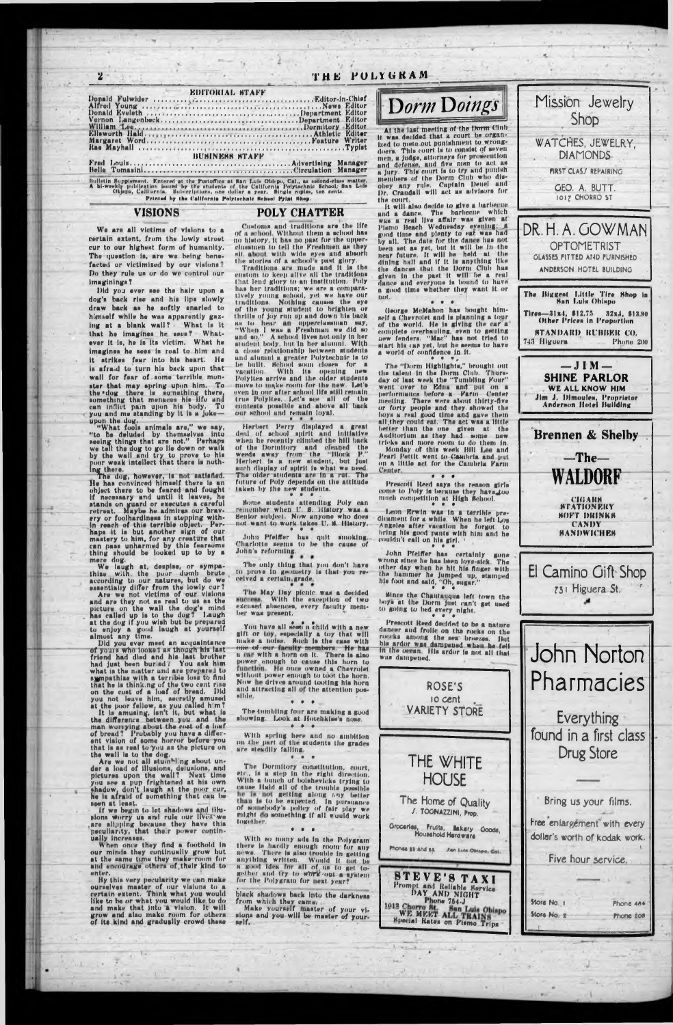## THE POLYGRAM

the court.

Center.

couldn't call on his girl.

to going to bed every night.

### **EDITORIAL STAFF**

| <b>EXAMPLE START BUSINESS STAFF</b> |  |
|-------------------------------------|--|
|                                     |  |
|                                     |  |

Bulletin Supplement. Entered at the Postoffice at San Luis Oblepo, Cal., as second-class matter.<br>A bi-weekly publication issued by the students of the California Polytechnic School; San Luis<br>Objetto, California. Subscripti Printed by the California Polytechnic School Print Shop.

### **VISIONS**

 $\overline{\mathbf{z}}$ 

### **POLY CHATTER**

We are all victims of visions to a certain extent, from the lowly street cur to our highest form of humanity. The question is, are we being benefacted or victimized by our visions? Do they rule us or do we control our imaginings?

Did you ever see the hair upon a dog's back rise and his lips slowly draw back as he softly snarled to himself while he was apparently gazing at a blank wall? What is it that he imagines he sees! Whatever it is, he is its victim. What he imagines he sees is real to him and it atrikes fear into his heart. He is afraid to turn his back upon that wall for fear of some terrible monster that may spring upon him. To the dog there is something there, something that menaces his life and can inflict pain upon his body. To you and me standing by it is a joke-

you and me standing by it is a joke----<br>upon the dog.<br>"What fools animals are," we say,<br>"to be deluded by themselves into<br>neeling things that are not." Perhaps<br>we tell the dog to go lie down or walk<br>by the wall and try to

object there to be feared and fought<br>if necessary and until it leaves, he<br>stands on guard or executes a careful<br>retreat. Maybe he admires our bravretreat. maybe no amires our previous interest.<br>In reach of this terrible object. Per-<br>haps it is but another sign of our mastery to him, for any creature that<br>can pass unharmed by this fearsome<br>thing should be looked up t

mere dog.<br>We laugh at, despise, or sympathize with the poor dumb brute<br>according to our natures, but do we<br>essentially differ from the lowly cur?

**Example 11 Apple 11** and are they not victims of our visions<br>and are they not as real to us as the<br>picture on the wall the dog's mind<br>has called up is to the dog's mind<br>has called up is to the dog'? Laugh<br>at the dog if y

Did you ever meet an acquaintance of yours who looked as though his last<br>friend had died and his last brother<br>had just been buried? You ask him<br>what is the natter and are prepared to<br>sympathize with a terrible loss to find sympathize with a terrible lowe on the<br>that he is thinking of the two cent rise<br>on the cost of a loaf of bread. Did<br>you not leave him, ascretly amused<br>at the poor fellow, as you called him?<br>It is amusing, lan't it, but wha

man worrying about the cost of a loaf<br>of bread? Probably you have a different vision of some horror before you hat is as real to you as the picture on. the wall is to the dog.<br>Are we not all stumbling about under a load of illusions, delusions, and<br>pictures upon the wall? Next time you see a pup frightened at his own shadow, don't laugh at the poor cur.<br>he is afraid of something that can be seen at least.

-Customs and traditions are the life<br>of a school. Without them a school has<br>no history, it has no past for the upperclassmen to tell the Freshmen as they sit about with wide eyes and absorb<br>the stories of a school's past glory.<br>Traditions are made and it is the<br>custom to keep alive ull the traditions

that lend glory to an institution. Poly has her traditions; we are a comparatively young school, yet we have our traditions. Nothing causes the eye the young student to brighten or thrills of joy run up and down his back<br>as to hear an upperclamman say,<br>"When I was a Freshman we did so<br>and so," A school lives not only in her student body, but in her alumni. With a close relationship between students<br>and alumni a greater Polytechnic is to<br>be built. School soun closes for a<br>vacation. With its opening new Polyites arrive and the older students move to make room for the new. Let's<br>even in our after school life still remain true Polykes, Let's see all of the our school and remain loyal.

Herbert Perry displayed a great<br>deal of school spirit and initiative<br>when he recently climbed the hill back of the Dormitory and cleaned the<br>weeds away from the "Block P."<br>Herbert is a new student, but just such display of spirit is what we need. The older students are in a rut. The future of Poly depends on the attitude taken by the new students.

Some students attending Poly can<br>remember when U. S. History was a<br>Senior subject. Now anyone who does not want to work takes U. S. History.

John Pfeiffer has quit smoking.<br>Charlotte seems to be the cause of<br>John's reforming.

The only thing that you don't have<br>to prove in geometry is that you re-<br>ceived a certain, grade.

The May Day picnic was a decided<br>success. With the exception of two<br>excused absences, every faculty member was present.

You have all seen a child with a new gift or toy, especially a toy that will make a noise. Such is the case with one of our faculty members. He has a car with a horn on it. There is also<br>power enough to cause this horn to<br>timetion. He once owned a Chevrolet<br>without power enough to toot the horn. Now he drives around tooting his horn and attracting all of the attention pos-**Elble.**  $\begin{array}{ccccccccc}\n\bullet & \bullet & \bullet & \bullet & \bullet & \end{array}$ 

The tumbling four are making a good<br>showing. Look at Hotehkiss's nose.  $0 0 1$ 

With spring here and no ambition<br>on the part of the students the grades



Pharmacies

Everything



spen at least.<br>If we begin to lot shadows and illu-<br>sions worry us and rule our lives we<br>are slipping because they have this<br>peculiarity, that their power contin-

ually increases.<br>When once they find a foothold in our minds they continually grow but<br>at the same time they make-room for<br>and encourage others of their kind to untur.

By this very pecularity we can make ourselves master of our visions to a certain extent. Think what you would<br>like to be or what you would like to do<br>and make that into a vision. It will<br>grow and also make room for others of its kind and gradually crowd these are steadily falling.  $\bullet$ 

The Dormitory constitution, court,<br>etc., is a step in the right direction.<br>With a bunch of bolshevicks trying to cause Hald all of the trouble possible than is to be expected. In pursuance<br>of somebody's policy of fair play we<br>might do something if all would work together.

 $\bullet$   $\bullet$ 

With so many ads in the Polygram there is hardly enough room for any news. There is also trouble in getting anything written. Would it not be a<br>a good idea for all of us to get to-<br>gether and try to work out a system<br>for the Polygram for next year?

black shadows back into the darkness

from which they came.<br>Make yourself master of your visions and you-will be master of yournelf.

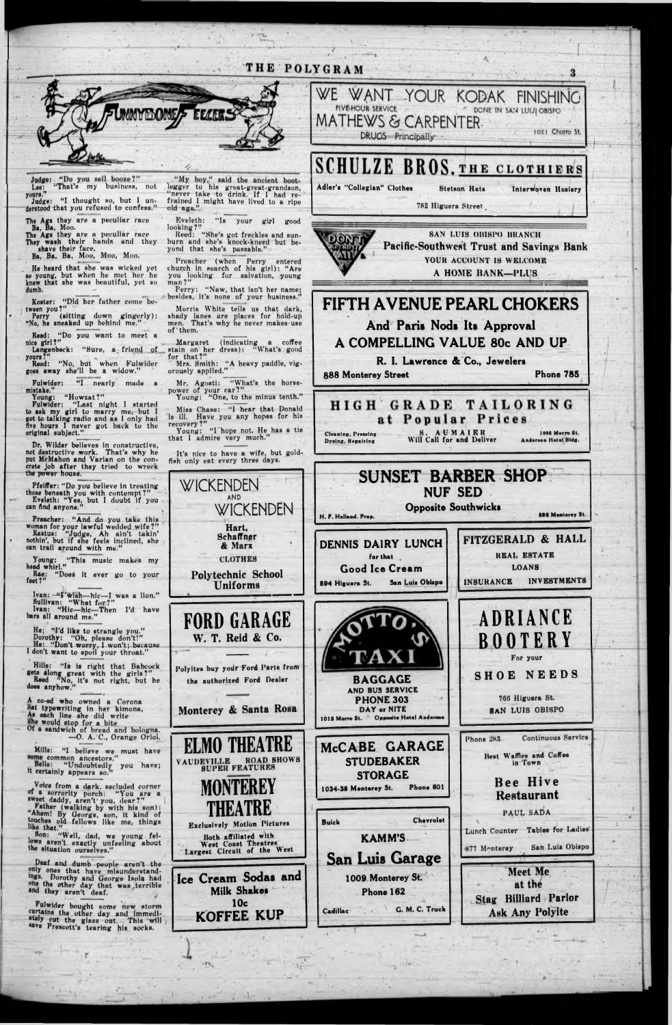MATHEWS <& CARPENTER.

Adler's "Collegian" Clothes Stetson Hats

FIVE-THE SAN LUIJI OBISPO

**888 Monterey Street Phone 785** 

Judge: "Do you sell booze?"<br>Lee: "That's my business, not your\*."

Judge: "I thought so, but I understood that you refused to confess."

# THE POLYGRAM

*r* \*•% .



The Ags they are a peculiar race Ba, Ba, Moo.

The Ags they are a peculiar race They wash their hands and they shave their face,

Reed: "Do you want to meet a nice girl?"

Langenbeck: "Sure, a friend of yours?"

Fulwider: "I nearly made a mistake."

Ba, Ba, Ba, Moo, Moo, Moo.

He heard that she was wicked yet to young, but when he met her he knew that ahc wan beautiful, yet ao dumb.

Dr. Wilder believes in constructive, not destructive work. That's why he put McMahon and Varian on the concrete job after they tried to wreck the power house.

Koster: "Did her futher come between you?"

Perry (aittlng down gingerly): "No, he aneaked up behind me."

Reed: "No, but when Fulwider goes away she'll be a widow."

"My boy," said the ancient bootlegger to his great-great-grandaon, " never take to drink. If I had refrained I might have lived to a ripe<br>old age."

Young: "H owzat?"

Fulwider: "Last night I started to ask my girl to marry me, but I got to talking radio and as I only had five hours I never got back to the original subject."

Morris White tells us that dark, shady lanes are places for hold-up men. That's why he never makes-use of 'them.

Miss Chase: "I hear that Donald is ill. Have you any hopes for his

Pfeiffer: " Do you believe in treating those beneath you with contempt?" Eveleth: " Yes, but I doubt if you can find anyone."

Ivan: -"Fwish—hic—I was a lion." Sullivan: "What for?" Ivan: "Hie—hie—Then I'd have bars all around me."

Preacher: "And do you take this . woman for your lawful wedded w ife?" Rastua: "Judge, Ah ain't takin' nothin', but If she feels inclined, she can trail around with me."

Hills: "la Is right that Babcock  $g_{\text{obs}}$  along great with the girls?" Reed "No, it's not right, but he<br>does anyhow."

Young: "This music makes my head whirl."

Rae: "Does it ever go to your<br>feet?"

Eveleth: "Is your girl good looking?"

Keen: "She's got freckles and sunburn and she's knock-kneed but beyond that she's passable."

Preacher (when Perry entered church In search of his girl): "Are you looking for salvation, young man ?"

Perry: "Naw, that isn't her name; besides, it's none of your business."

...-Margaret (Indicating a coffee stain on her dress): " What's good

SAN LUIS OBISPO BRANCH Pacific-Southwest Trust and Savings Bank YOUR ACCOUNT IS WELCOME A HOME BANK-PLUS

for that?" ' Mrs. Smith: "A heavy paddle, vig-

orously applied."

Mr. Agosti: "What's the horsepower of your car?" Young: " One, to the minus tenth."

recovery ?" Young: " I hope not. He has a tie

that I admire very much."

It's nice to have a wife, but goldfish only eat every three days.

He; " I'd like to strangle you." Dorothy; "Oh, please don't!" Ha: "Don't worry, l won't; because I don't want to spoil your throat."

A co-ed who owned a Corona aat typewriting in her kimona, As each line she did write ahe would stop for a bite Of a sandwich of bread and bologna. —0. A. C., Orange Oriol. WICKENDEN

AND

**Hart, Schaffer & Marx**

CLOTHES Polytechnic School Uniforms

W. T. Reid & Co.

the authorized Ford Dealer



782 Higuera Street,

DRUGS Principally **Chorro St.** 1021 Chorro St.

InterWoven Hosiery



FIFTH AVENUE PEARL CHOKERS And Paris Nods Its Approval A COMPELLING VALUE 80c AND UP

**R. 1. Lawrence & Co., Jewelers**

WE WANT YOUR KODAK FINISHING

SCHULZE BROS. THE CLOTHIERS

Drains, Repairing



Will Call for and Deliver

Anderson Hatal Bidg.